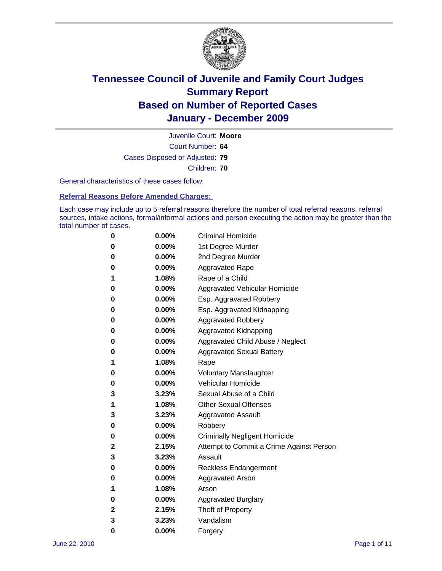

Court Number: **64** Juvenile Court: **Moore** Cases Disposed or Adjusted: **79** Children: **70**

General characteristics of these cases follow:

**Referral Reasons Before Amended Charges:** 

Each case may include up to 5 referral reasons therefore the number of total referral reasons, referral sources, intake actions, formal/informal actions and person executing the action may be greater than the total number of cases.

| 0 | $0.00\%$ | <b>Criminal Homicide</b>                 |
|---|----------|------------------------------------------|
| 0 | $0.00\%$ | 1st Degree Murder                        |
| 0 | $0.00\%$ | 2nd Degree Murder                        |
| 0 | $0.00\%$ | <b>Aggravated Rape</b>                   |
| 1 | 1.08%    | Rape of a Child                          |
| 0 | $0.00\%$ | Aggravated Vehicular Homicide            |
| 0 | $0.00\%$ | Esp. Aggravated Robbery                  |
| 0 | $0.00\%$ | Esp. Aggravated Kidnapping               |
| 0 | $0.00\%$ | <b>Aggravated Robbery</b>                |
| 0 | $0.00\%$ | Aggravated Kidnapping                    |
| 0 | 0.00%    | Aggravated Child Abuse / Neglect         |
| 0 | $0.00\%$ | <b>Aggravated Sexual Battery</b>         |
| 1 | 1.08%    | Rape                                     |
| 0 | $0.00\%$ | <b>Voluntary Manslaughter</b>            |
| 0 | $0.00\%$ | Vehicular Homicide                       |
| 3 | 3.23%    | Sexual Abuse of a Child                  |
| 1 | 1.08%    | <b>Other Sexual Offenses</b>             |
| 3 | 3.23%    | <b>Aggravated Assault</b>                |
| 0 | $0.00\%$ | Robbery                                  |
| 0 | $0.00\%$ | <b>Criminally Negligent Homicide</b>     |
| 2 | 2.15%    | Attempt to Commit a Crime Against Person |
| 3 | 3.23%    | Assault                                  |
| 0 | $0.00\%$ | <b>Reckless Endangerment</b>             |
| 0 | $0.00\%$ | <b>Aggravated Arson</b>                  |
| 1 | 1.08%    | Arson                                    |
| 0 | $0.00\%$ | <b>Aggravated Burglary</b>               |
| 2 | 2.15%    | Theft of Property                        |
| 3 | 3.23%    | Vandalism                                |
| 0 | 0.00%    | Forgery                                  |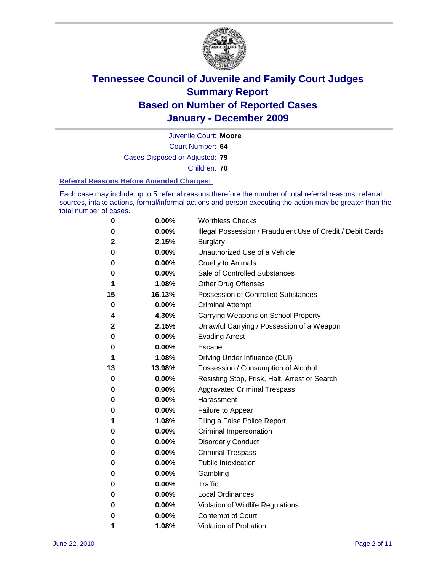

Court Number: **64** Juvenile Court: **Moore**

Cases Disposed or Adjusted: **79**

Children: **70**

#### **Referral Reasons Before Amended Charges:**

Each case may include up to 5 referral reasons therefore the number of total referral reasons, referral sources, intake actions, formal/informal actions and person executing the action may be greater than the total number of cases.

| 0            | 0.00%  | <b>Worthless Checks</b>                                     |
|--------------|--------|-------------------------------------------------------------|
| 0            | 0.00%  | Illegal Possession / Fraudulent Use of Credit / Debit Cards |
| $\mathbf{2}$ | 2.15%  | <b>Burglary</b>                                             |
| 0            | 0.00%  | Unauthorized Use of a Vehicle                               |
| 0            | 0.00%  | <b>Cruelty to Animals</b>                                   |
| 0            | 0.00%  | Sale of Controlled Substances                               |
| 1            | 1.08%  | <b>Other Drug Offenses</b>                                  |
| 15           | 16.13% | Possession of Controlled Substances                         |
| 0            | 0.00%  | <b>Criminal Attempt</b>                                     |
| 4            | 4.30%  | Carrying Weapons on School Property                         |
| $\mathbf{2}$ | 2.15%  | Unlawful Carrying / Possession of a Weapon                  |
| 0            | 0.00%  | <b>Evading Arrest</b>                                       |
| 0            | 0.00%  | Escape                                                      |
| 1            | 1.08%  | Driving Under Influence (DUI)                               |
| 13           | 13.98% | Possession / Consumption of Alcohol                         |
| 0            | 0.00%  | Resisting Stop, Frisk, Halt, Arrest or Search               |
| 0            | 0.00%  | <b>Aggravated Criminal Trespass</b>                         |
| 0            | 0.00%  | Harassment                                                  |
| 0            | 0.00%  | Failure to Appear                                           |
| 1            | 1.08%  | Filing a False Police Report                                |
| 0            | 0.00%  | Criminal Impersonation                                      |
| 0            | 0.00%  | <b>Disorderly Conduct</b>                                   |
| 0            | 0.00%  | <b>Criminal Trespass</b>                                    |
| 0            | 0.00%  | <b>Public Intoxication</b>                                  |
| 0            | 0.00%  | Gambling                                                    |
| 0            | 0.00%  | Traffic                                                     |
| 0            | 0.00%  | <b>Local Ordinances</b>                                     |
| 0            | 0.00%  | Violation of Wildlife Regulations                           |
| 0            | 0.00%  | Contempt of Court                                           |
| 1            | 1.08%  | Violation of Probation                                      |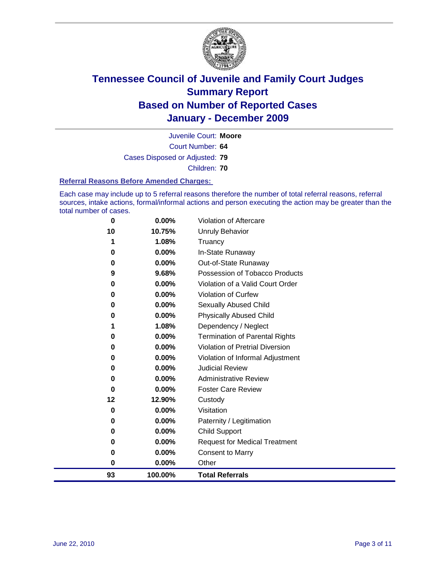

Court Number: **64** Juvenile Court: **Moore** Cases Disposed or Adjusted: **79** Children: **70**

#### **Referral Reasons Before Amended Charges:**

Each case may include up to 5 referral reasons therefore the number of total referral reasons, referral sources, intake actions, formal/informal actions and person executing the action may be greater than the total number of cases.

| 93       | 100.00%  | <b>Total Referrals</b>                 |
|----------|----------|----------------------------------------|
| 0        | $0.00\%$ | Other                                  |
| 0        | 0.00%    | <b>Consent to Marry</b>                |
| 0        | $0.00\%$ | <b>Request for Medical Treatment</b>   |
| 0        | $0.00\%$ | <b>Child Support</b>                   |
| 0        | 0.00%    | Paternity / Legitimation               |
| 0        | $0.00\%$ | Visitation                             |
| 12       | 12.90%   | Custody                                |
| 0        | 0.00%    | <b>Foster Care Review</b>              |
| 0        | 0.00%    | <b>Administrative Review</b>           |
| 0        | 0.00%    | <b>Judicial Review</b>                 |
| 0        | 0.00%    | Violation of Informal Adjustment       |
| 0        | 0.00%    | <b>Violation of Pretrial Diversion</b> |
| 0        | 0.00%    | Termination of Parental Rights         |
| 1        | 1.08%    | Dependency / Neglect                   |
| $\bf{0}$ | 0.00%    | <b>Physically Abused Child</b>         |
| 0        | 0.00%    | <b>Sexually Abused Child</b>           |
| 0        | 0.00%    | Violation of Curfew                    |
| 0        | 0.00%    | Violation of a Valid Court Order       |
| 9        | 9.68%    | Possession of Tobacco Products         |
| 0        | 0.00%    | Out-of-State Runaway                   |
| $\bf{0}$ | 0.00%    | In-State Runaway                       |
| 1        | 1.08%    | Truancy                                |
| 10       | 10.75%   | Unruly Behavior                        |
| 0        | 0.00%    | <b>Violation of Aftercare</b>          |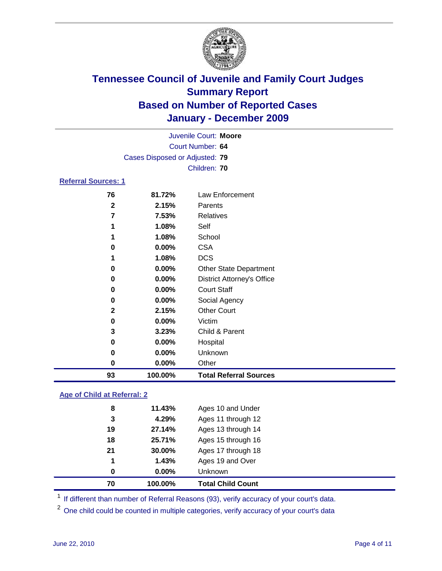

|                            | Juvenile Court: Moore          |                                   |  |  |  |
|----------------------------|--------------------------------|-----------------------------------|--|--|--|
|                            |                                | Court Number: 64                  |  |  |  |
|                            | Cases Disposed or Adjusted: 79 |                                   |  |  |  |
|                            |                                | Children: 70                      |  |  |  |
| <b>Referral Sources: 1</b> |                                |                                   |  |  |  |
| 76                         | 81.72%                         | Law Enforcement                   |  |  |  |
| $\mathbf{2}$               | 2.15%                          | Parents                           |  |  |  |
| $\overline{7}$             | 7.53%                          | <b>Relatives</b>                  |  |  |  |
| 1                          | 1.08%                          | Self                              |  |  |  |
| 1                          | 1.08%                          | School                            |  |  |  |
| 0                          | $0.00\%$                       | <b>CSA</b>                        |  |  |  |
| 1                          | 1.08%                          | <b>DCS</b>                        |  |  |  |
| 0                          | $0.00\%$                       | <b>Other State Department</b>     |  |  |  |
| 0                          | $0.00\%$                       | <b>District Attorney's Office</b> |  |  |  |
| 0                          | $0.00\%$                       | <b>Court Staff</b>                |  |  |  |
| 0                          | $0.00\%$                       | Social Agency                     |  |  |  |
| $\mathbf{2}$               | 2.15%                          | <b>Other Court</b>                |  |  |  |
| 0                          | $0.00\%$                       | Victim                            |  |  |  |
| 3                          | 3.23%                          | Child & Parent                    |  |  |  |
| 0                          | 0.00%                          | Hospital                          |  |  |  |
| 0                          | $0.00\%$                       | Unknown                           |  |  |  |
| 0                          | 0.00%                          | Other                             |  |  |  |
| 93                         | 100.00%                        | <b>Total Referral Sources</b>     |  |  |  |

### **Age of Child at Referral: 2**

| 70 | 100.00%  | <b>Total Child Count</b> |
|----|----------|--------------------------|
| 0  | $0.00\%$ | <b>Unknown</b>           |
| 1  | 1.43%    | Ages 19 and Over         |
| 21 | 30.00%   | Ages 17 through 18       |
| 18 | 25.71%   | Ages 15 through 16       |
| 19 | 27.14%   | Ages 13 through 14       |
| 3  | 4.29%    | Ages 11 through 12       |
| 8  | 11.43%   | Ages 10 and Under        |
|    |          |                          |

<sup>1</sup> If different than number of Referral Reasons (93), verify accuracy of your court's data.

<sup>2</sup> One child could be counted in multiple categories, verify accuracy of your court's data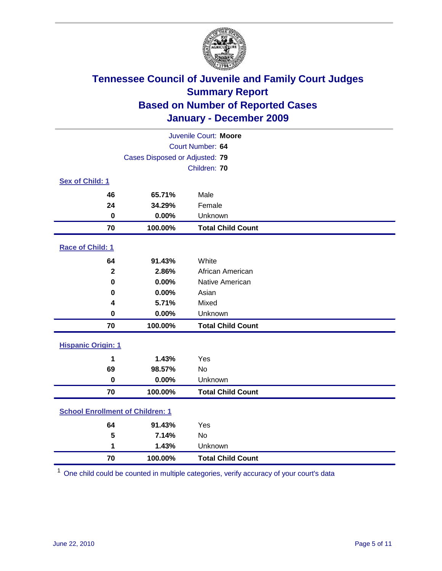

| Juvenile Court: Moore                   |                                |                          |  |  |  |
|-----------------------------------------|--------------------------------|--------------------------|--|--|--|
|                                         | Court Number: 64               |                          |  |  |  |
|                                         | Cases Disposed or Adjusted: 79 |                          |  |  |  |
|                                         |                                | Children: 70             |  |  |  |
| Sex of Child: 1                         |                                |                          |  |  |  |
| 46                                      | 65.71%                         | Male                     |  |  |  |
| 24                                      | 34.29%                         | Female                   |  |  |  |
| $\mathbf 0$                             | 0.00%                          | Unknown                  |  |  |  |
| 70                                      | 100.00%                        | <b>Total Child Count</b> |  |  |  |
| Race of Child: 1                        |                                |                          |  |  |  |
| 64                                      | 91.43%                         | White                    |  |  |  |
| $\mathbf 2$                             | 2.86%                          | African American         |  |  |  |
| $\mathbf 0$                             | 0.00%                          | Native American          |  |  |  |
| 0                                       | 0.00%                          | Asian                    |  |  |  |
| 4                                       | 5.71%                          | Mixed                    |  |  |  |
| $\mathbf 0$                             | 0.00%                          | Unknown                  |  |  |  |
| 70                                      | 100.00%                        | <b>Total Child Count</b> |  |  |  |
| <b>Hispanic Origin: 1</b>               |                                |                          |  |  |  |
| 1                                       | 1.43%                          | Yes                      |  |  |  |
| 69                                      | 98.57%                         | <b>No</b>                |  |  |  |
| $\mathbf 0$                             | 0.00%                          | Unknown                  |  |  |  |
| 70                                      | 100.00%                        | <b>Total Child Count</b> |  |  |  |
| <b>School Enrollment of Children: 1</b> |                                |                          |  |  |  |
| 64                                      | 91.43%                         | Yes                      |  |  |  |
| 5                                       | 7.14%                          | <b>No</b>                |  |  |  |
| 1                                       | 1.43%                          | Unknown                  |  |  |  |
| 70                                      | 100.00%                        | <b>Total Child Count</b> |  |  |  |

One child could be counted in multiple categories, verify accuracy of your court's data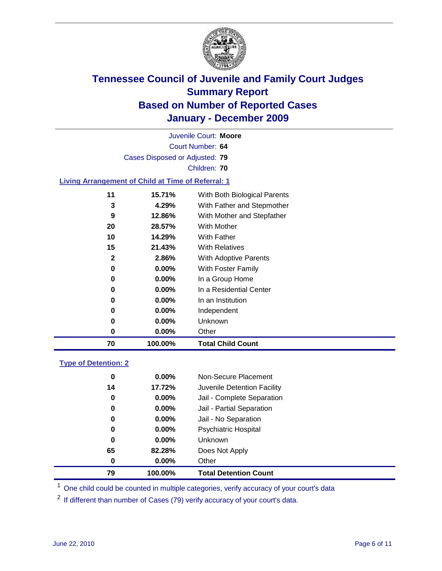

Court Number: **64** Juvenile Court: **Moore** Cases Disposed or Adjusted: **79** Children: **70 Living Arrangement of Child at Time of Referral: 1 15.71%** With Both Biological Parents **4.29%** With Father and Stepmother **12.86%** With Mother and Stepfather **28.57%** With Mother **14.29%** With Father **21.43%** With Relatives

|   | 2.86%    | With Adoptive Parents   |
|---|----------|-------------------------|
| 0 | $0.00\%$ | With Foster Family      |
| O | $0.00\%$ | In a Group Home         |
| O | $0.00\%$ | In a Residential Center |
| O | $0.00\%$ | In an Institution       |

### **0.00%** Independent **0.00%** Unknown **0.00%** Other **100.00% Total Child Count**

### **Type of Detention: 2**

| 79 | 100.00%  | <b>Total Detention Count</b> |  |
|----|----------|------------------------------|--|
| 0  | $0.00\%$ | Other                        |  |
| 65 | 82.28%   | Does Not Apply               |  |
| 0  | $0.00\%$ | <b>Unknown</b>               |  |
| 0  | $0.00\%$ | Psychiatric Hospital         |  |
| 0  | 0.00%    | Jail - No Separation         |  |
| 0  | $0.00\%$ | Jail - Partial Separation    |  |
| 0  | $0.00\%$ | Jail - Complete Separation   |  |
| 14 | 17.72%   | Juvenile Detention Facility  |  |
| 0  | $0.00\%$ | Non-Secure Placement         |  |
|    |          |                              |  |

<sup>1</sup> One child could be counted in multiple categories, verify accuracy of your court's data

<sup>2</sup> If different than number of Cases (79) verify accuracy of your court's data.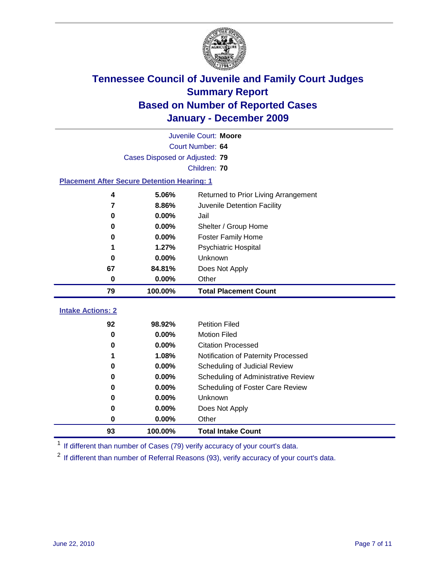

|                                                    | Juvenile Court: Moore          |                                                  |  |  |  |
|----------------------------------------------------|--------------------------------|--------------------------------------------------|--|--|--|
|                                                    | Court Number: 64               |                                                  |  |  |  |
|                                                    | Cases Disposed or Adjusted: 79 |                                                  |  |  |  |
|                                                    |                                | Children: 70                                     |  |  |  |
| <b>Placement After Secure Detention Hearing: 1</b> |                                |                                                  |  |  |  |
| 4                                                  | 5.06%                          | Returned to Prior Living Arrangement             |  |  |  |
| 7                                                  | 8.86%                          | Juvenile Detention Facility                      |  |  |  |
| 0                                                  | 0.00%                          | Jail                                             |  |  |  |
| 0                                                  | 0.00%                          | Shelter / Group Home                             |  |  |  |
| 0                                                  | 0.00%                          | <b>Foster Family Home</b>                        |  |  |  |
| 1                                                  | 1.27%                          | Psychiatric Hospital                             |  |  |  |
| 0                                                  | $0.00\%$                       | Unknown                                          |  |  |  |
| 67                                                 | 84.81%                         | Does Not Apply                                   |  |  |  |
| $\bf{0}$                                           | 0.00%                          | Other                                            |  |  |  |
| 79                                                 | 100.00%                        | <b>Total Placement Count</b>                     |  |  |  |
| <b>Intake Actions: 2</b>                           |                                |                                                  |  |  |  |
|                                                    |                                |                                                  |  |  |  |
| 92                                                 | 98.92%                         | <b>Petition Filed</b>                            |  |  |  |
| $\bf{0}$                                           | 0.00%<br>0.00%                 | <b>Motion Filed</b><br><b>Citation Processed</b> |  |  |  |
| 0                                                  |                                |                                                  |  |  |  |
| 1                                                  | 1.08%<br>0.00%                 | Notification of Paternity Processed              |  |  |  |
| $\mathbf 0$                                        |                                | Scheduling of Judicial Review                    |  |  |  |
| 0                                                  | 0.00%                          | Scheduling of Administrative Review              |  |  |  |
| 0                                                  | 0.00%                          | Scheduling of Foster Care Review                 |  |  |  |
| 0                                                  | 0.00%                          | Unknown                                          |  |  |  |
| 0                                                  | 0.00%                          | Does Not Apply                                   |  |  |  |
| 0                                                  | 0.00%                          | Other                                            |  |  |  |
| 93                                                 | 100.00%                        | <b>Total Intake Count</b>                        |  |  |  |

<sup>1</sup> If different than number of Cases (79) verify accuracy of your court's data.

<sup>2</sup> If different than number of Referral Reasons (93), verify accuracy of your court's data.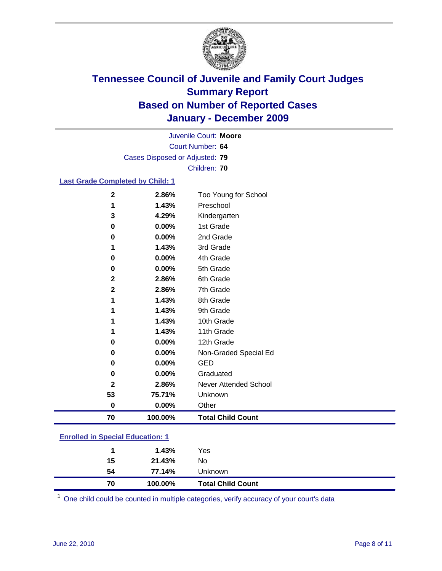

Court Number: **64** Juvenile Court: **Moore** Cases Disposed or Adjusted: **79** Children: **70**

### **Last Grade Completed by Child: 1**

| $\mathbf{2}$ | 2.86%   | Too Young for School         |
|--------------|---------|------------------------------|
| 1            | 1.43%   | Preschool                    |
| 3            | 4.29%   | Kindergarten                 |
| 0            | 0.00%   | 1st Grade                    |
| 0            | 0.00%   | 2nd Grade                    |
| 1            | 1.43%   | 3rd Grade                    |
| 0            | 0.00%   | 4th Grade                    |
| 0            | 0.00%   | 5th Grade                    |
| $\mathbf{2}$ | 2.86%   | 6th Grade                    |
| $\mathbf{2}$ | 2.86%   | 7th Grade                    |
| 1            | 1.43%   | 8th Grade                    |
|              | 1.43%   | 9th Grade                    |
|              | 1.43%   | 10th Grade                   |
|              | 1.43%   | 11th Grade                   |
| 0            | 0.00%   | 12th Grade                   |
| 0            | 0.00%   | Non-Graded Special Ed        |
| 0            | 0.00%   | <b>GED</b>                   |
| 0            | 0.00%   | Graduated                    |
| $\mathbf{2}$ | 2.86%   | <b>Never Attended School</b> |
| 53           | 75.71%  | Unknown                      |
| $\bf{0}$     | 0.00%   | Other                        |
| 70           | 100.00% | <b>Total Child Count</b>     |

### **Enrolled in Special Education: 1**

| 70 | 100.00% | <b>Total Child Count</b> |  |
|----|---------|--------------------------|--|
| 54 | 77.14%  | Unknown                  |  |
| 15 | 21.43%  | No                       |  |
|    | 1.43%   | Yes                      |  |
|    |         |                          |  |

One child could be counted in multiple categories, verify accuracy of your court's data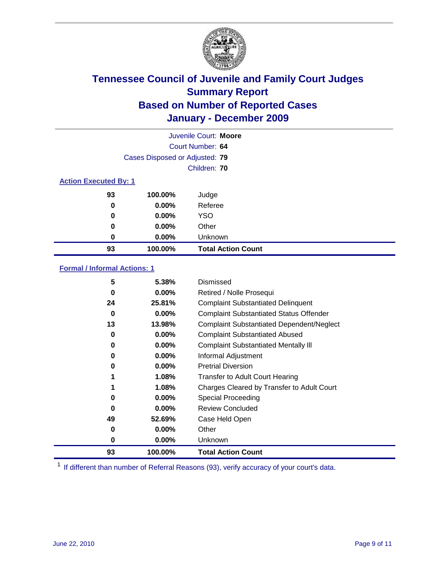

| Juvenile Court: Moore        |                                |                           |  |  |
|------------------------------|--------------------------------|---------------------------|--|--|
|                              | Court Number: 64               |                           |  |  |
|                              | Cases Disposed or Adjusted: 79 |                           |  |  |
|                              |                                | Children: 70              |  |  |
| <b>Action Executed By: 1</b> |                                |                           |  |  |
| 93                           | 100.00%                        | Judge                     |  |  |
| 0                            | $0.00\%$                       | Referee                   |  |  |
| 0                            | $0.00\%$                       | <b>YSO</b>                |  |  |
| 0                            | $0.00\%$                       | Other                     |  |  |
| 0                            | $0.00\%$                       | Unknown                   |  |  |
| 93                           | 100.00%                        | <b>Total Action Count</b> |  |  |

### **Formal / Informal Actions: 1**

| 5  | 5.38%    | Dismissed                                        |
|----|----------|--------------------------------------------------|
| 0  | $0.00\%$ | Retired / Nolle Prosequi                         |
| 24 | 25.81%   | <b>Complaint Substantiated Delinquent</b>        |
| 0  | $0.00\%$ | <b>Complaint Substantiated Status Offender</b>   |
| 13 | 13.98%   | <b>Complaint Substantiated Dependent/Neglect</b> |
| 0  | $0.00\%$ | <b>Complaint Substantiated Abused</b>            |
| 0  | $0.00\%$ | <b>Complaint Substantiated Mentally III</b>      |
| 0  | $0.00\%$ | Informal Adjustment                              |
| 0  | $0.00\%$ | <b>Pretrial Diversion</b>                        |
| 1  | 1.08%    | <b>Transfer to Adult Court Hearing</b>           |
|    | 1.08%    | Charges Cleared by Transfer to Adult Court       |
| 0  | $0.00\%$ | Special Proceeding                               |
| 0  | $0.00\%$ | <b>Review Concluded</b>                          |
| 49 | 52.69%   | Case Held Open                                   |
| 0  | $0.00\%$ | Other                                            |
| 0  | $0.00\%$ | Unknown                                          |
| 93 | 100.00%  | <b>Total Action Count</b>                        |

<sup>1</sup> If different than number of Referral Reasons (93), verify accuracy of your court's data.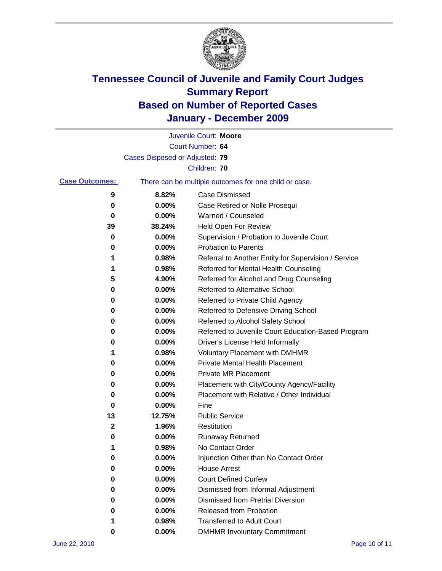

|                       |                                | Juvenile Court: Moore                                 |
|-----------------------|--------------------------------|-------------------------------------------------------|
|                       |                                | Court Number: 64                                      |
|                       | Cases Disposed or Adjusted: 79 |                                                       |
|                       |                                | Children: 70                                          |
| <b>Case Outcomes:</b> |                                | There can be multiple outcomes for one child or case. |
| 9                     | 8.82%                          | <b>Case Dismissed</b>                                 |
| 0                     | 0.00%                          | Case Retired or Nolle Prosequi                        |
| 0                     | 0.00%                          | Warned / Counseled                                    |
| 39                    | 38.24%                         | Held Open For Review                                  |
| 0                     | 0.00%                          | Supervision / Probation to Juvenile Court             |
| 0                     | 0.00%                          | <b>Probation to Parents</b>                           |
| 1                     | 0.98%                          | Referral to Another Entity for Supervision / Service  |
| 1                     | 0.98%                          | Referred for Mental Health Counseling                 |
| 5                     | 4.90%                          | Referred for Alcohol and Drug Counseling              |
| 0                     | 0.00%                          | <b>Referred to Alternative School</b>                 |
| 0                     | 0.00%                          | Referred to Private Child Agency                      |
| 0                     | 0.00%                          | Referred to Defensive Driving School                  |
| 0                     | 0.00%                          | Referred to Alcohol Safety School                     |
| 0                     | 0.00%                          | Referred to Juvenile Court Education-Based Program    |
| 0                     | 0.00%                          | Driver's License Held Informally                      |
| 1                     | 0.98%                          | <b>Voluntary Placement with DMHMR</b>                 |
| 0                     | 0.00%                          | <b>Private Mental Health Placement</b>                |
| 0                     | 0.00%                          | <b>Private MR Placement</b>                           |
| 0                     | 0.00%                          | Placement with City/County Agency/Facility            |
| 0                     | 0.00%                          | Placement with Relative / Other Individual            |
| 0                     | 0.00%                          | Fine                                                  |
| 13                    | 12.75%                         | <b>Public Service</b>                                 |
| 2                     | 1.96%                          | Restitution                                           |
| 0                     | 0.00%                          | <b>Runaway Returned</b>                               |
| 1                     | 0.98%                          | No Contact Order                                      |
| 0                     | 0.00%                          | Injunction Other than No Contact Order                |
| 0                     | 0.00%                          | <b>House Arrest</b>                                   |
| 0                     | 0.00%                          | <b>Court Defined Curfew</b>                           |
| 0                     | 0.00%                          | Dismissed from Informal Adjustment                    |
| 0                     | 0.00%                          | <b>Dismissed from Pretrial Diversion</b>              |
| 0                     | 0.00%                          | Released from Probation                               |
|                       | 0.98%                          | <b>Transferred to Adult Court</b>                     |
| 0                     | $0.00\%$                       | <b>DMHMR Involuntary Commitment</b>                   |